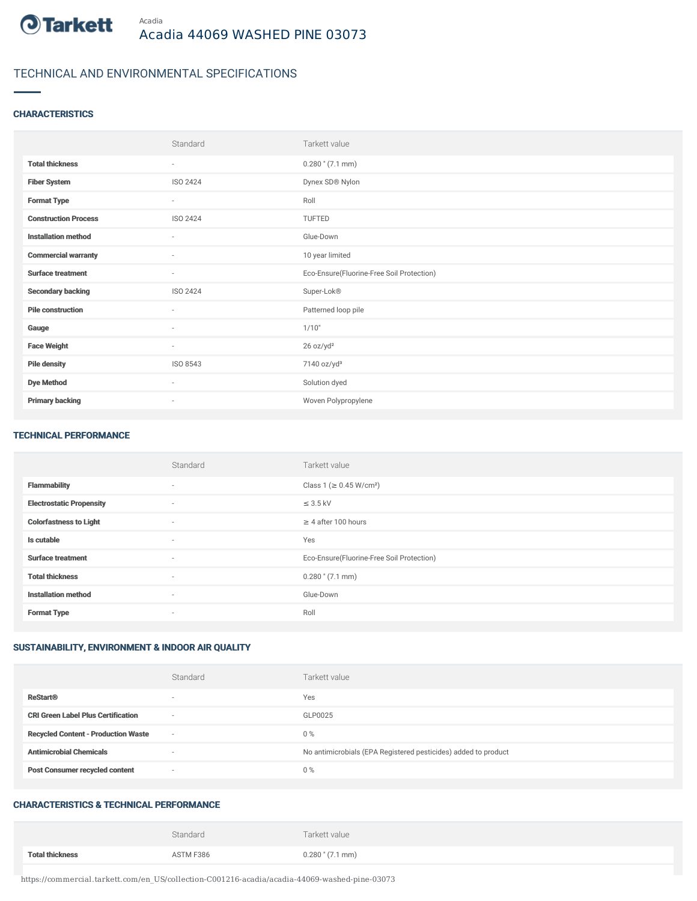

# TECHNICAL AND ENVIRONMENTAL SPECIFICATIONS

### **CHARACTERISTICS**

|                             | Standard                 | Tarkett value                             |
|-----------------------------|--------------------------|-------------------------------------------|
| <b>Total thickness</b>      | ٠                        | $0.280$ " $(7.1$ mm)                      |
| <b>Fiber System</b>         | ISO 2424                 | Dynex SD® Nylon                           |
| <b>Format Type</b>          | $\overline{\phantom{a}}$ | Roll                                      |
| <b>Construction Process</b> | ISO 2424                 | TUFTED                                    |
| <b>Installation method</b>  | ٠                        | Glue-Down                                 |
| <b>Commercial warranty</b>  | ٠                        | 10 year limited                           |
| <b>Surface treatment</b>    | ٠                        | Eco-Ensure(Fluorine-Free Soil Protection) |
| <b>Secondary backing</b>    | ISO 2424                 | Super-Lok®                                |
| <b>Pile construction</b>    | $\sim$                   | Patterned loop pile                       |
| Gauge                       | $\sim$                   | 1/10"                                     |
| <b>Face Weight</b>          | $\sim$                   | 26 oz/yd <sup>2</sup>                     |
| <b>Pile density</b>         | ISO 8543                 | 7140 oz/yd <sup>3</sup>                   |
| <b>Dye Method</b>           | $\sim$                   | Solution dyed                             |
| <b>Primary backing</b>      | $\overline{\phantom{a}}$ | Woven Polypropylene                       |

#### TECHNICAL PERFORMANCE

|                                 | Standard                 | Tarkett value                             |
|---------------------------------|--------------------------|-------------------------------------------|
| <b>Flammability</b>             | $\sim$                   | Class 1 ( $\geq$ 0.45 W/cm <sup>2</sup> ) |
| <b>Electrostatic Propensity</b> | $\sim$                   | $\leq$ 3.5 kV                             |
| <b>Colorfastness to Light</b>   | $\sim$                   | $\geq 4$ after 100 hours                  |
| Is cutable                      | $\sim$                   | Yes                                       |
| <b>Surface treatment</b>        | $\sim$                   | Eco-Ensure(Fluorine-Free Soil Protection) |
| <b>Total thickness</b>          | $\sim$                   | $0.280$ " (7.1 mm)                        |
| <b>Installation method</b>      | $\sim$                   | Glue-Down                                 |
| <b>Format Type</b>              | $\overline{\phantom{a}}$ | Roll                                      |

## SUSTAINABILITY, ENVIRONMENT & INDOOR AIR QUALITY

|                                            | Standard                 | Tarkett value                                                  |
|--------------------------------------------|--------------------------|----------------------------------------------------------------|
| <b>ReStart®</b>                            | $\sim$                   | Yes                                                            |
| <b>CRI Green Label Plus Certification</b>  | $\sim$                   | GLP0025                                                        |
| <b>Recycled Content - Production Waste</b> | $\overline{\phantom{a}}$ | 0%                                                             |
| <b>Antimicrobial Chemicals</b>             |                          | No antimicrobials (EPA Registered pesticides) added to product |
| <b>Post Consumer recycled content</b>      | $\sim$                   | 0%                                                             |

## CHARACTERISTICS & TECHNICAL PERFORMANCE

|                        | Standard  | Tarkett value        |
|------------------------|-----------|----------------------|
| <b>Total thickness</b> | ASTM F386 | $0.280$ " $(7.1$ mm) |